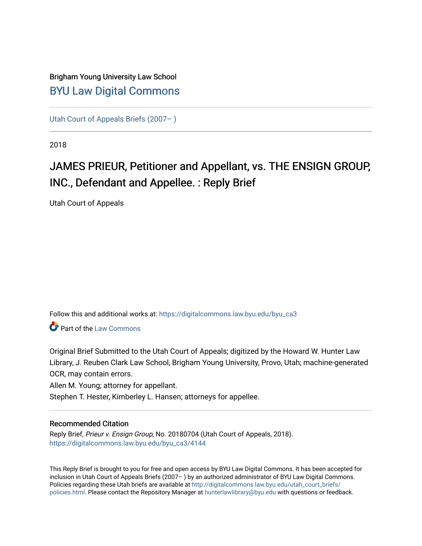## Brigham Young University Law School [BYU Law Digital Commons](https://digitalcommons.law.byu.edu/)

[Utah Court of Appeals Briefs \(2007– \)](https://digitalcommons.law.byu.edu/byu_ca3) 

2018

# JAMES PRIEUR, Petitioner and Appellant, vs. THE ENSIGN GROUP, INC., Defendant and Appellee. : Reply Brief

Utah Court of Appeals

Follow this and additional works at: [https://digitalcommons.law.byu.edu/byu\\_ca3](https://digitalcommons.law.byu.edu/byu_ca3?utm_source=digitalcommons.law.byu.edu%2Fbyu_ca3%2F4144&utm_medium=PDF&utm_campaign=PDFCoverPages) 

**C** Part of the [Law Commons](https://network.bepress.com/hgg/discipline/578?utm_source=digitalcommons.law.byu.edu%2Fbyu_ca3%2F4144&utm_medium=PDF&utm_campaign=PDFCoverPages)

Original Brief Submitted to the Utah Court of Appeals; digitized by the Howard W. Hunter Law Library, J. Reuben Clark Law School, Brigham Young University, Provo, Utah; machine-generated OCR, may contain errors.

Allen M. Young; attorney for appellant.

Stephen T. Hester, Kimberley L. Hansen; attorneys for appellee.

#### Recommended Citation

Reply Brief, Prieur v. Ensign Group, No. 20180704 (Utah Court of Appeals, 2018). [https://digitalcommons.law.byu.edu/byu\\_ca3/4144](https://digitalcommons.law.byu.edu/byu_ca3/4144?utm_source=digitalcommons.law.byu.edu%2Fbyu_ca3%2F4144&utm_medium=PDF&utm_campaign=PDFCoverPages) 

This Reply Brief is brought to you for free and open access by BYU Law Digital Commons. It has been accepted for inclusion in Utah Court of Appeals Briefs (2007– ) by an authorized administrator of BYU Law Digital Commons. Policies regarding these Utah briefs are available at [http://digitalcommons.law.byu.edu/utah\\_court\\_briefs/](http://digitalcommons.law.byu.edu/utah_court_briefs/policies.html) [policies.html](http://digitalcommons.law.byu.edu/utah_court_briefs/policies.html). Please contact the Repository Manager at hunterlawlibrary@byu.edu with questions or feedback.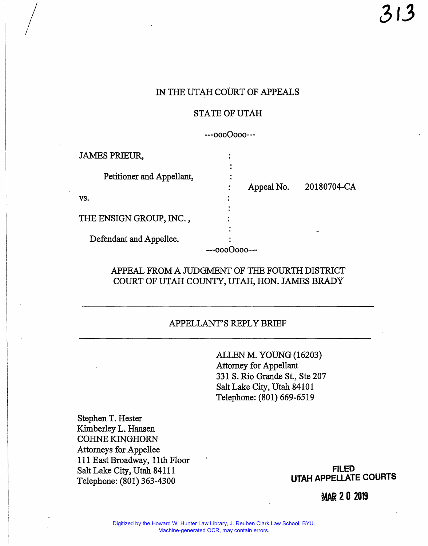## IN THE UTAH COURT OF APPEALS

#### STATE OF UTAH

---0000000---

| <b>JAMES PRIEUR,</b>      |            |             |
|---------------------------|------------|-------------|
|                           |            |             |
| Petitioner and Appellant, |            |             |
|                           | Appeal No. | 20180704-CA |
| VS.                       |            |             |
|                           |            |             |
| THE ENSIGN GROUP, INC.,   |            |             |
|                           |            |             |
| Defendant and Appellee.   |            |             |
|                           |            |             |

## APPEAL FROM A JUDGMENT OF THE FOURTH DISTRICT COURT OF UTAH COUNTY, UTAH, HON. JAMES BRADY

## APPELLANT'S REPLY BRIEF

ALLEN M. YOUNG (16203) Attorney for Appellant 331 S. Rio Grande St., Ste 207 Salt Lake City, Utah 84101 Telephone: (801) 669-6519

Stephen T. Hester Kimberley L. Hansen COHNE KINGHORN Attorneys for Appellee 111 East Broadway, 11th Floor Salt Lake City, Utah 84111 Telephone: (801) 363-4300 **UTAH APPELLATE COURTS** 

*I*   $\frac{1}{2}$ 

I

**FILED** 

**MAR 2 0 2019**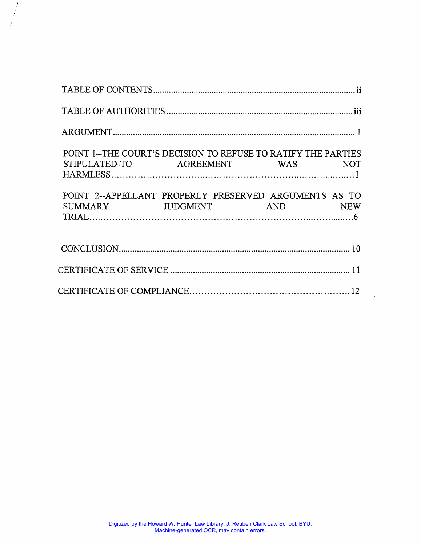| POINT 1--THE COURT'S DECISION TO REFUSE TO RATIFY THE PARTIES<br>STIPULATED-TO AGREEMENT WAS NOT |  |  |
|--------------------------------------------------------------------------------------------------|--|--|
| POINT 2--APPELLANT PROPERLY PRESERVED ARGUMENTS AS TO                                            |  |  |
|                                                                                                  |  |  |
|                                                                                                  |  |  |
|                                                                                                  |  |  |

 $\overline{\phantom{a}}$ 

 $\int$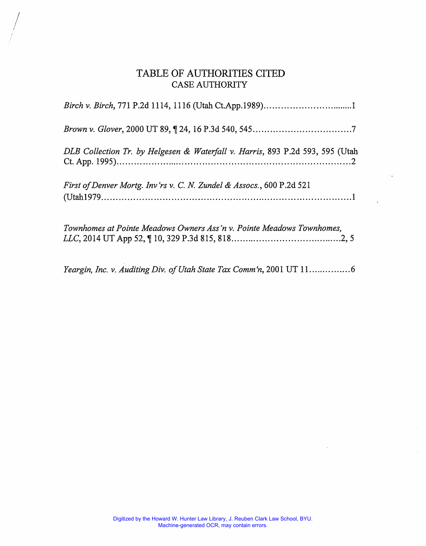## TABLE OF AUTHORITIES CITED CASE AUTHORITY

I  $\bigg\}$ 

| DLB Collection Tr. by Helgesen & Waterfall v. Harris, 893 P.2d 593, 595 (Utah |
|-------------------------------------------------------------------------------|
| First of Denver Mortg. Inv'rs v. C. N. Zundel & Assocs., 600 P.2d 521         |
| Townhomes at Pointe Meadows Owners Ass'n v. Pointe Meadows Townhomes,         |

*Yeargin, Inc. v. Auditing Div. of Utah State Tax Comm'n,* 2001 UT 11. .............. 6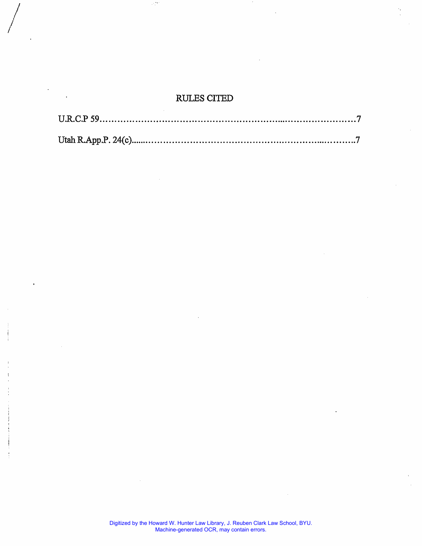## RULES CITED

۰,۰

 $\Bigg/$ 

*/* 

 $\cdot$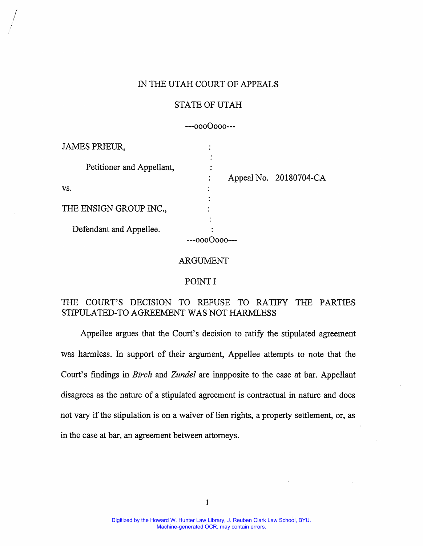#### IN THE UTAH COURT OF APPEALS

#### STATE OF UTAH

---0000000---

| <b>JAMES PRIEUR,</b>      |  |                        |
|---------------------------|--|------------------------|
|                           |  |                        |
| Petitioner and Appellant, |  |                        |
|                           |  | Appeal No. 20180704-CA |
| VS.                       |  |                        |
|                           |  |                        |
| THE ENSIGN GROUP INC.,    |  |                        |
|                           |  |                        |
| Defendant and Appellee.   |  |                        |
|                           |  |                        |

#### ARGUMENT

#### POINT I

## THE COURT'S DECISION TO REFUSE TO RATIFY THE PARTIES STIPULATED-TO AGREEMENT WAS NOT HARMLESS

Appellee argues that the Court's decision to ratify the stipulated agreement was harmless. In support of their argument, Appellee attempts to note that the Court's findings in *Birch* and *Zundel* are inapposite to the case at bar. Appellant disagrees as the nature of a stipulated agreement is contractual in nature and does not vary if the stipulation is on a waiver of lien rights, a property settlement, or, as in the case at bar, an agreement between attorneys.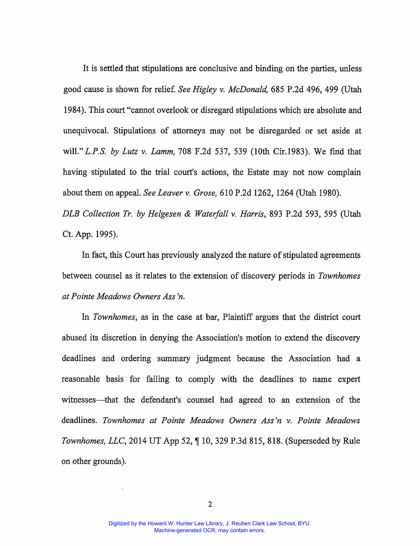It is settled that stipulations are conclusive and binding on the parties, unless good cause is shown for relief. *See Higley v. McDonald,* 685 P.2d 496, 499 (Utah 1984 ). This court "cannot overlook or disregard stipulations which are absolute and unequivocal. Stipulations of attorneys may not be disregarded or set aside at will." *L.P.S. by Lutz v. Lamm,* 708 F.2d 537, 539 (10th Cir.1983). We find that having stipulated to the trial court's actions, the Estate may not now complain about them on appeal. *See Leaver v. Grose,* 610 P.2d 1262, 1264 (Utah 1980).

*DLB Collection Tr. by Helgesen & Waterfall v. Harris,* 893 P.2d 593, 595 (Utah Ct. App. 1995).

In fact, this Court has previously analyzed the nature of stipulated agreements between counsel as it relates to the extension of discovery periods in *Townhomes at Pointe Meadows Owners Ass 'n.* 

In *Townhomes,* as in the case at bar, Plaintiff argues that the district court abused its discretion in denying the Association's motion to extend the discovery deadlines and ordering summary judgment because the Association had a reasonable basis for failing to comply with the deadlines to name expert witnesses—that the defendant's counsel had agreed to an extension of the deadlines. *Townhomes at Pointe Meadows Owners Ass 'n v. Pointe Meadows Townhomes, LLC*, 2014 UT App 52,  $\P$  10, 329 P.3d 815, 818. (Superseded by Rule on other grounds).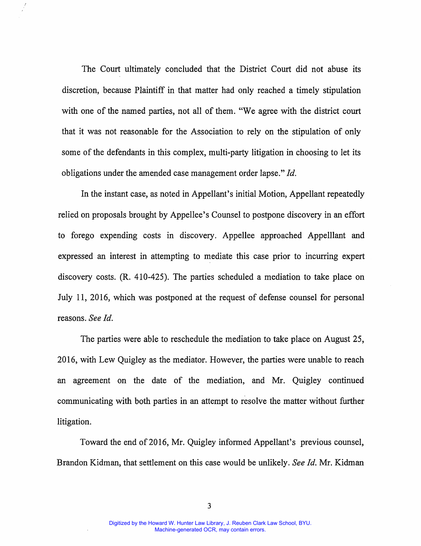The Court ultimately concluded that the District Court did not abuse its discretion, because Plaintiff in that matter had only reached a timely stipulation with one of the named parties, not all of them. "We agree with the district court that it was not reasonable for the Association to rely on the stipulation of only some of the defendants in this complex, multi-party litigation in choosing to let its obligations under the amended case management order lapse." *Id.* 

In the instant case, as noted in Appellant's initial Motion, Appellant repeatedly relied on proposals brought by Appellee's Counsel to postpone discovery in an effort to forego expending costs in discovery. Appellee approached Appelllant and expressed an interest in attempting to mediate this case prior to incurring expert discovery costs. (R. 410-425). The parties scheduled a mediation to take place on July 11, 2016, which was postponed at the request of defense counsel for personal reasons. *See Id.* 

The parties were able to reschedule the mediation to take place on August 25, 2016, with Lew Quigley as the mediator. However, the parties were unable to reach an agreement on the date of the mediation, and Mr. Quigley continued communicating with both parties in an attempt to resolve the matter without further litigation.

Toward the end of 2016, Mr. Quigley informed Appellant's previous counsel, Brandon Kidman, that settlement on this case would be unlikely. *See Id.* Mr. Kidman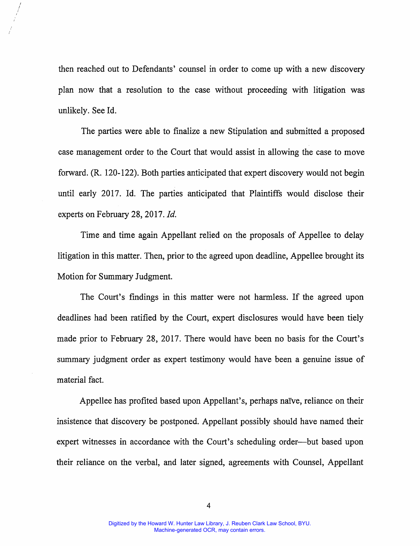then reached out to Defendants' counsel in order to come up with a new discovery plan now that a resolution to the case without proceeding with litigation was unlikely. See Id.

*I I*  I I

> The parties were able to finalize a new Stipulation and submitted a proposed case management order to the Court that would assist in allowing the case to move forward. (R. 120-122). Both parties anticipated that expert discovery would not begin until early 2017. Id. The parties anticipated that Plaintiffs would disclose their experts on February 28, 2017. *Id.*

> Time and time again Appellant relied on the proposals of Appellee to delay litigation in this matter. Then, prior to the agreed upon deadline, Appellee brought its Motion for Summary Judgment.

> The Court's findings in this matter were not harmless. If the agreed upon deadlines had been ratified by the Court, expert disclosures would have been tiely made prior to February 28, 2017. There would have been no basis for the Court's summary judgment order as expert testimony would have been a genuine issue of material fact.

> Appellee has profited based upon Appellant's, perhaps naïve, reliance on their insistence that discovery be postponed. Appellant possibly should have named their expert witnesses in accordance with the Court's scheduling order—but based upon their reliance on the verbal, and later signed, agreements with Counsel, Appellant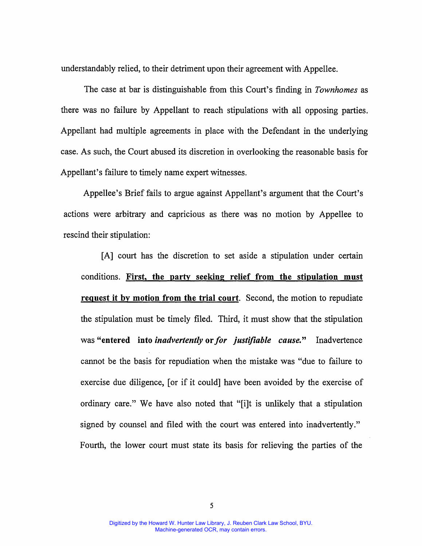understandably relied, to their detriment upon their agreement with Appellee.

The case at bar is distinguishable from this Court's finding in *Townhomes* as there was no failure by Appellant to reach stipulations with all opposing parties. Appellant had multiple agreements in place with the Defendant in the underlying case. As such, the Court abused its discretion in overlooking the reasonable basis for Appellant's failure to timely name expert witnesses.

Appellee's Brief fails to argue against Appellant's argument that the Court's actions were arbitrary and capricious as there was no motion by Appellee to rescind their stipulation:

[A] court has the discretion to set aside a stipulation under certain conditions. **First, the party seeking relief from the stipulation must request it by motion from the trial court.** Second, the motion to repudiate the stipulation must be timely filed. Third, it must show that the stipulation was **"entered into** *inadvertently* **or** *for justifiable cause."* Inadvertence cannot be the basis for repudiation when the mistake was "due to failure to exercise due diligence, [or if it could] have been avoided by the exercise of ordinary care." We have also noted that "[i]t is unlikely that a stipulation signed by counsel and filed with the court was entered into inadvertently." Fourth, the lower court must state its basis for relieving the parties of the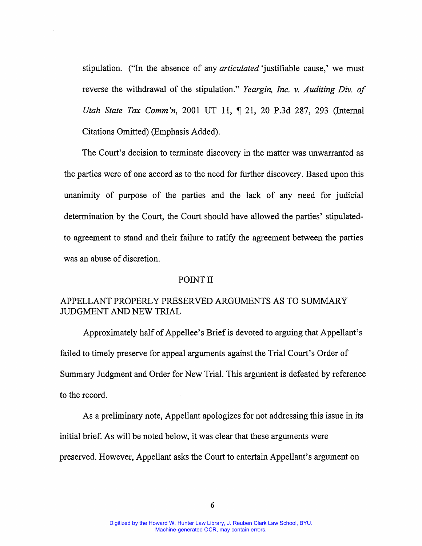stipulation. ("In the absence of any *articulated* 'justifiable cause,' we must reverse the withdrawal of the stipulation." *Yeargin, Inc. v. Auditing Div. of Utah State Tax Comm'n,* 2001 UT 11, ¶ 21, 20 P.3d 287, 293 (Internal Citations Omitted) (Emphasis Added).

The Court's decision to terminate discovery in the matter was unwarranted as the parties were of one accord as to the need for further discovery. Based upon this unanimity of purpose of the parties and the lack of any need for judicial determination by the Court, the Court should have allowed the parties' stipulatedto agreement to stand and their failure to ratify the agreement between the parties was an abuse of discretion.

#### POINT II

## APPELLANT PROPERLY PRESERVED ARGUMENTS AS TO SUMMARY JUDGMENT AND NEW TRIAL

Approximately half of Appellee's Brief is devoted to arguing that Appellant's failed to timely preserve for appeal arguments against the Trial Court's Order of Summary Judgment and Order for New Trial. This argument is defeated by reference to the record.

As a preliminary note, Appellant apologizes for not addressing this issue in its initial brief. As will be noted below, it was clear that these arguments were preserved. However, Appellant asks the Court to entertain Appellant's argument on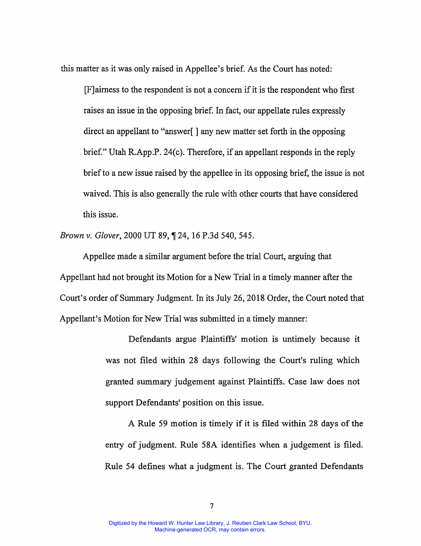this matter as it was only raised in Appellee's brief. As the Court has noted:

[F] aimess to the respondent is not a concern if it is the respondent who first raises an issue in the opposing brief. In fact, our appellate rules expressly direct an appellant to "answer[ ] any new matter set forth in the opposing brief." Utah R.App.P. 24(c). Therefore, if an appellant responds in the reply brief to a new issue raised by the appellee in its opposing brief, the issue is not waived. This is also generally the rule with other courts that have considered this issue.

*Brown v. Glover, 2000 UT 89, 124, 16 P.3d 540, 545.* 

Appellee made a similar argument before the trial Court, arguing that Appellant had not brought its Motion for a New Trial in a timely manner after the Court's order of Summary Judgment. In its July 26, 2018 Order, the Court noted that Appellant's Motion for New Trial was submitted in a timely manner:

> Defendants argue Plaintiffs' motion is untimely because it was not filed within 28 days following the Court's ruling which granted summary judgement against Plaintiffs. Case law does not support Defendants' position on this issue.

> A Rule 59 motion is timely if it is filed within 28 days of the entry of judgment. Rule 58A identifies when a judgement is filed. Rule 54 defines what a judgment is. The Court granted Defendants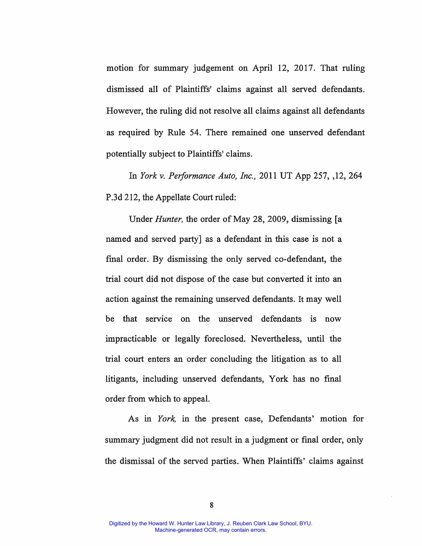motion for summary judgement on April 12, 2017. That ruling dismissed all of Plaintiffs' claims against all served defendants. However, the ruling did not resolve all claims against all defendants as required by Rule 54. There remained one unserved defendant potentially subject to Plaintiffs' claims.

In *York v. Performance Auto, Inc.,* 2011 UT App 257, ,12, 264 P.3d 212, the Appellate Court ruled:

Under *Hunter,* the order of May 28, 2009, dismissing [a named and served party] as a defendant in this case is not a final order. By dismissing the only served co-defendant, the trial court did not dispose of the case but converted it into an action against the remaining unserved defendants. It may well be that service on the unserved defendants is now impracticable or legally foreclosed. Nevertheless, until the trial court enters an order concluding the litigation as to all litigants, including unserved defendants, York has no final order from which to appeal.

As in *York,* in the present case, Defendants' motion for summary judgment did not result in a judgment or final order, only the dismissal of the served parties. When Plaintiffs' claims against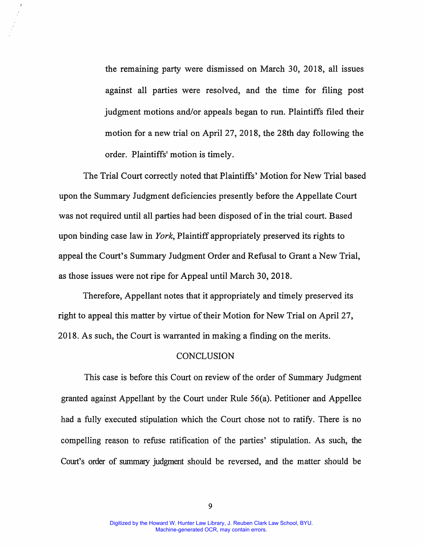the remaining party were dismissed on March 30, 2018, all issues against all parties were resolved, and the time for filing post judgment motions and/or appeals began to run. Plaintiffs filed their motion for a new trial on April 27, 2018, the 28th day following the order. Plaintiffs' motion is timely.

The Trial Court correctly noted that Plaintiffs' Motion for New Trial based upon the Summary Judgment deficiencies presently before the Appellate Court was not required until all parties had been disposed of in the trial court. Based upon binding case law in *York,* Plaintiff appropriately preserved its rights to appeal the Court's Summary Judgment Order and Refusal to Grant a New Trial, as those issues were not ripe for Appeal until March 30, 2018.

Therefore, Appellant notes that it appropriately and timely preserved its right to appeal this matter by virtue of their Motion for New Trial on April 27, 2018. As such, the Court is warranted in making a finding on the merits.

#### **CONCLUSION**

This case is before this Court on review of the order of Summary Judgment granted against Appellant by the Court under Rule 56(a). Petitioner and Appellee had a fully executed stipulation which the Court chose not to ratify. There is no compelling reason to refuse ratification of the parties' stipulation. As such, the Court's order of summary judgment should be reversed, and the matter should be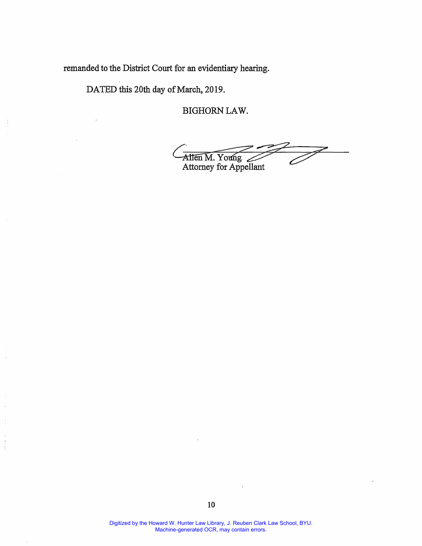remanded to the District Court for an evidentiary hearing.

DATED this 20th day of March, 2019.

 $\ddot{i}$ 

j

BIGHORN LAW.

Allen M. Young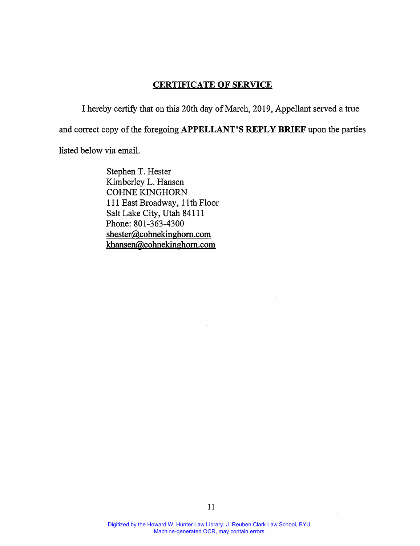#### **CERTIFICATE OF SERVICE**

I hereby certify that on this 20th day of March, 2019, Appellant served a true and correct copy of the foregoing **APPELLANT'S REPLY BRIEF** upon the parties listed below via email.

> Stephen T. Hester Kimberley L. Hansen COHNE KINGHORN 111 East Broadway, 11th Floor Salt Lake City, Utah 84111 Phone: 801-363-4300 shester@cohnekinghom.com **khansen@cohnekinghom.com**